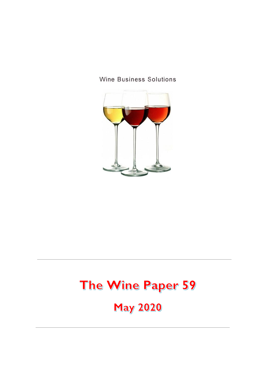



# The Wine Paper 59

**May 2020**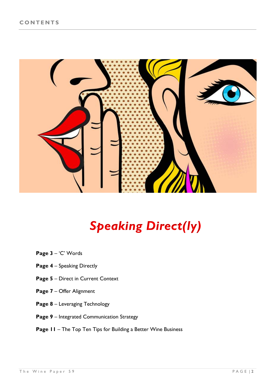

# *Speaking Direct(ly)*

- **Page 3**  'C' Words
- **Page 4** Speaking Directly
- **Page 5** Direct in Current Context
- **Page 7** Offer Alignment
- **Page 8** Leveraging Technology
- **Page 9** Integrated Communication Strategy
- **Page 11** The Top Ten Tips for Building a Better Wine Business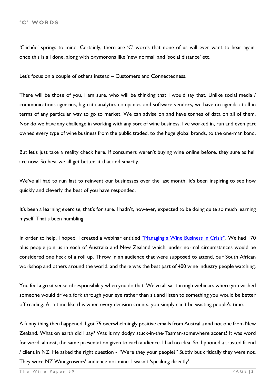'Clichéd' springs to mind. Certainly, there are 'C' words that none of us will ever want to hear again, once this is all done, along with oxymorons like 'new normal' and 'social distance' etc.

Let's focus on a couple of others instead – Customers and Connectedness.

There will be those of you, I am sure, who will be thinking that I would say that. Unlike social media / communications agencies, big data analytics companies and software vendors, we have no agenda at all in terms of any particular way to go to market. We can advise on and have tonnes of data on all of them. Nor do we have any challenge in working with any sort of wine business. I've worked in, run and even part owned every type of wine business from the public traded, to the huge global brands, to the one-man band.

But let's just take a reality check here. If consumers weren't buying wine online before, they sure as hell are now. So best we all get better at that and smartly.

We've all had to run fast to reinvent our businesses over the last month. It's been inspiring to see how quickly and cleverly the best of you have responded.

It's been a learning exercise, that's for sure. I hadn't, however, expected to be doing quite so much learning myself. That's been humbling.

In order to help, I hoped, I created a webinar entitled ["Managing a Wine Business in Crisis"](https://winebusinesssolutions.cmail19.com/t/j-l-qydyhdk-tkudjyduur-i). We had 170 plus people join us in each of Australia and New Zealand which, under normal circumstances would be considered one heck of a roll up. Throw in an audience that were supposed to attend, our South African workshop and others around the world, and there was the best part of 400 wine industry people watching.

You feel a great sense of responsibility when you do that. We've all sat through webinars where you wished someone would drive a fork through your eye rather than sit and listen to something you would be better off reading. At a time like this when every decision counts, you simply can't be wasting people's time.

A funny thing then happened. I got 75 overwhelmingly positive emails from Australia and not one from New Zealand. What on earth did I say? Was it my dodgy stuck-in-the-Tasman-somewhere accent? It was word for word, almost, the same presentation given to each audience. I had no idea. So, I phoned a trusted friend / client in NZ. He asked the right question - "Were they your people?" Subtly but critically they were not. They were NZ Winegrowers' audience not mine. I wasn't 'speaking directly'.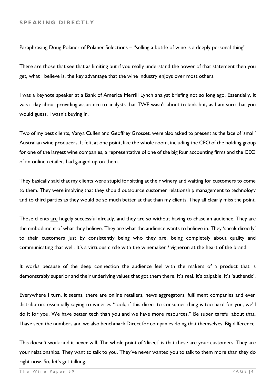Paraphrasing Doug Polaner of Polaner Selections – "selling a bottle of wine is a deeply personal thing".

There are those that see that as limiting but if you really understand the power of that statement then you get, what I believe is, the key advantage that the wine industry enjoys over most others.

I was a keynote speaker at a Bank of America Merrill Lynch analyst briefing not so long ago. Essentially, it was a day about providing assurance to analysts that TWE wasn't about to tank but, as I am sure that you would guess, I wasn't buying in.

Two of my best clients, Vanya Cullen and Geoffrey Grosset, were also asked to present as the face of 'small' Australian wine producers. It felt, at one point, like the whole room, including the CFO of the holding group for one of the largest wine companies, a representative of one of the big four accounting firms and the CEO of an online retailer, had ganged up on them.

They basically said that my clients were stupid for sitting at their winery and waiting for customers to come to them. They were implying that they should outsource customer relationship management to technology and to third parties as they would be so much better at that than my clients. They all clearly miss the point.

Those clients are hugely successful already, and they are so without having to chase an audience. They are the embodiment of what they believe. They are what the audience wants to believe in. They 'speak directly' to their customers just by consistently being who they are, being completely about quality and communicating that well. It's a virtuous circle with the winemaker / vigneron at the heart of the brand.

It works because of the deep connection the audience feel with the makers of a product that is demonstrably superior and their underlying values that got them there. It's real. It's palpable. It's 'authentic'.

Everywhere I turn, it seems, there are online retailers, news aggregators, fulfilment companies and even distributors essentially saying to wineries "look, if this direct to consumer thing is too hard for you, we'll do it for you. We have better tech than you and we have more resources." Be super careful about that. I have seen the numbers and we also benchmark Direct for companies doing that themselves. Big difference.

This doesn't work and it never will. The whole point of 'direct' is that these are your customers. They are your relationships. They want to talk to you. They've never wanted you to talk to them more than they do right now. So, let's get talking.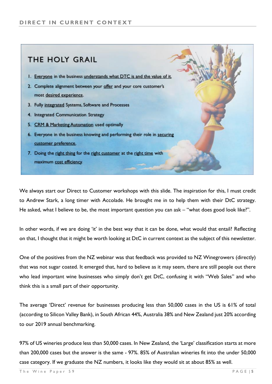### THE HOLY GRAIL

- 1. Everyone in the business understands what DTC is and the value of it.
- 2. Complete alignment between your offer and your core customer's most desired experience.
- 3. Fully integrated Systems, Software and Processes
- 4. Integrated Communication Strategy
- 5. CRM & Marketing Automation used optimally
- 6. Everyone in the business knowing and performing their role in securing customer preference.
- 7. Doing the right thing for the right customer at the right time with maximum cost efficiency.

We always start our Direct to Customer workshops with this slide. The inspiration for this, I must credit to Andrew Stark, a long timer with Accolade. He brought me in to help them with their DtC strategy. He asked, what I believe to be, the most important question you can ask – "what does good look like?".

In other words, if we are doing 'it' in the best way that it can be done, what would that entail? Reflecting on that, I thought that it might be worth looking at DtC in current context as the subject of this newsletter.

One of the positives from the NZ webinar was that feedback was provided to NZ Winegrowers (directly) that was not sugar coated. It emerged that, hard to believe as it may seem, there are still people out there who lead important wine businesses who simply don't get DtC, confusing it with "Web Sales" and who think this is a small part of their opportunity.

The average 'Direct' revenue for businesses producing less than 50,000 cases in the US is 61% of total (according to Silicon Valley Bank), in South African 44%, Australia 38% and New Zealand just 20% according to our 2019 annual benchmarking.

97% of US wineries produce less than 50,000 cases. In New Zealand, the 'Large' classification starts at more than 200,000 cases but the answer is the same - 97%. 85% of Australian wineries fit into the under 50,000 case category. If we graduate the NZ numbers, it looks like they would sit at about 85% as well.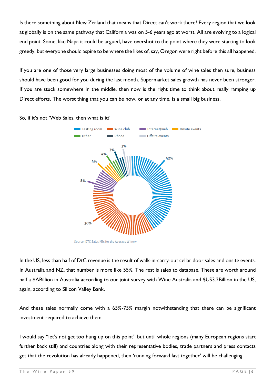Is there something about New Zealand that means that Direct can't work there? Every region that we look at globally is on the same pathway that California was on 5-6 years ago at worst. All are evolving to a logical end point. Some, like Napa it could be argued, have overshot to the point where they were starting to look greedy, but everyone should aspire to be where the likes of, say, Oregon were right before this all happened.

If you are one of those very large businesses doing most of the volume of wine sales then sure, business should have been good for you during the last month. Supermarket sales growth has never been stronger. If you are stuck somewhere in the middle, then now is the right time to think about really ramping up Direct efforts. The worst thing that you can be now, or at any time, is a small big business.



So, if it's not 'Web Sales, then what is it?

In the US, less than half of DtC revenue is the result of walk-in-carry-out cellar door sales and onsite events. In Australia and NZ, that number is more like 55%. The rest is sales to database. These are worth around half a \$ABillion in Australia according to our joint survey with Wine Australia and \$US3.2Billion in the US, again, according to Silicon Valley Bank.

And these sales normally come with a 65%-75% margin notwithstanding that there can be significant investment required to achieve them.

I would say "let's not get too hung up on this point" but until whole regions (many European regions start further back still) and countries along with their representative bodies, trade partners and press contacts get that the revolution has already happened, then 'running forward fast together' will be challenging.

Source: DTC Sales Mix for the Average Winery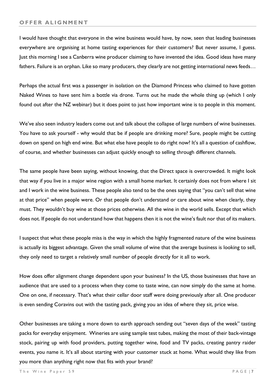I would have thought that everyone in the wine business would have, by now, seen that leading businesses everywhere are organising at home tasting experiences for their customers? But never assume, I guess. Just this morning I see a Canberra wine producer claiming to have invented the idea. Good ideas have many fathers. Failure is an orphan. Like so many producers, they clearly are not getting international news feeds…

Perhaps the actual first was a passenger in isolation on the Diamond Princess who claimed to have gotten Naked Wines to have sent him a bottle via drone. Turns out he made the whole thing up (which I only found out after the NZ webinar) but it does point to just how important wine is to people in this moment.

We've also seen industry leaders come out and talk about the collapse of large numbers of wine businesses. You have to ask yourself - why would that be if people are drinking more? Sure, people might be cutting down on spend on high end wine. But what else have people to do right now? It's all a question of cashflow, of course, and whether businesses can adjust quickly enough to selling through different channels.

The same people have been saying, without knowing, that the Direct space is overcrowded. It might look that way if you live in a major wine region with a small home market. It certainly does not from where I sit and I work in the wine business. These people also tend to be the ones saying that "you can't sell that wine at that price" when people were. Or that people don't understand or care about wine when clearly, they must. They wouldn't buy wine at those prices otherwise. All the wine in the world sells. Except that which does not. If people do not understand how that happens then it is not the wine's fault nor that of its makers.

I suspect that what these people miss is the way in which the highly fragmented nature of the wine business is actually its biggest advantage. Given the small volume of wine that the average business is looking to sell, they only need to target a relatively small number of people directly for it all to work.

How does offer alignment change dependent upon your business? In the US, those businesses that have an audience that are used to a process when they come to taste wine, can now simply do the same at home. One on one, if necessary. That's what their cellar door staff were doing previously after all. One producer is even sending Coravins out with the tasting pack, giving you an idea of where they sit, price wise.

Other businesses are taking a more down to earth approach sending out "seven days of the week" tasting packs for everyday enjoyment. Wineries are using sample test tubes, making the most of their back-vintage stock, pairing up with food providers, putting together wine, food and TV packs, creating pantry raider events, you name it. It's all about starting with your customer stuck at home. What would they like from you more than anything right now that fits with your brand?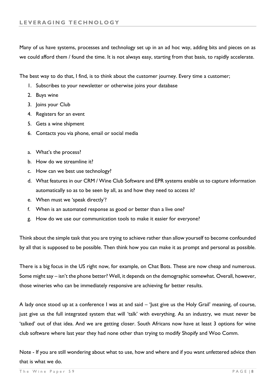Many of us have systems, processes and technology set up in an ad hoc way, adding bits and pieces on as we could afford them / found the time. It is not always easy, starting from that basis, to rapidly accelerate.

The best way to do that, I find, is to think about the customer journey. Every time a customer;

- 1. Subscribes to your newsletter or otherwise joins your database
- 2. Buys wine
- 3. Joins your Club
- 4. Registers for an event
- 5. Gets a wine shipment
- 6. Contacts you via phone, email or social media
- a. What's the process?
- b. How do we streamline it?
- c. How can we best use technology?
- d. What features in our CRM / Wine Club Software and EPR systems enable us to capture information automatically so as to be seen by all, as and how they need to access it?
- e. When must we 'speak directly'?
- f. When is an automated response as good or better than a live one?
- g. How do we use our communication tools to make it easier for everyone?

Think about the simple task that you are trying to achieve rather than allow yourself to become confounded by all that is supposed to be possible. Then think how you can make it as prompt and personal as possible.

There is a big focus in the US right now, for example, on Chat Bots. These are now cheap and numerous. Some might say – isn't the phone better? Well, it depends on the demographic somewhat. Overall, however, those wineries who can be immediately responsive are achieving far better results.

A lady once stood up at a conference I was at and said – 'Just give us the Holy Grail' meaning, of course, just give us the full integrated system that will 'talk' with everything. As an industry, we must never be 'talked' out of that idea. And we are getting closer. South Africans now have at least 3 options for wine club software where last year they had none other than trying to modify Shopify and Woo Comm.

Note - If you are still wondering about what to use, how and where and if you want unfettered advice then that is what we do.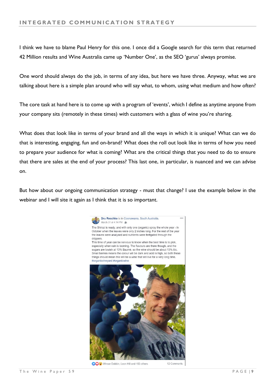I think we have to blame Paul Henry for this one. I once did a Google search for this term that returned 42 Million results and Wine Australia came up 'Number One', as the SEO 'gurus' always promise.

One word should always do the job, in terms of any idea, but here we have three. Anyway, what we are talking about here is a simple plan around who will say what, to whom, using what medium and how often?

The core task at hand here is to come up with a program of 'events', which I define as anytime anyone from your company sits (remotely in these times) with customers with a glass of wine you're sharing.

What does that look like in terms of your brand and all the ways in which it is unique? What can we do that is interesting, engaging, fun and on-brand? What does the roll out look like in terms of how you need to prepare your audience for what is coming? What are the critical things that you need to do to ensure that there are sales at the end of your process? This last one, in particular, is nuanced and we can advise on.

But how about our ongoing communication strategy - must that change? I use the example below in the webinar and I will site it again as I think that it is so important.



OOOO Winsor Dobbin, Leon Hill and 153 others

12 Comn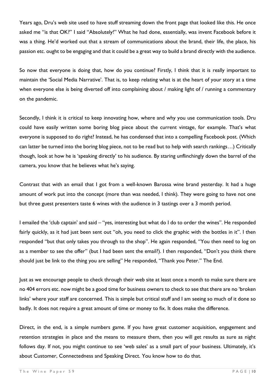Years ago, Dru's web site used to have stuff streaming down the front page that looked like this. He once asked me "is that OK?" I said "Absolutely!" What he had done, essentially, was invent Facebook before it was a thing. He'd worked out that a stream of communications about the brand, their life, the place, his passion etc. ought to be engaging and that it could be a great way to build a brand directly with the audience.

So now that everyone is doing that, how do you continue? Firstly, I think that it is really important to maintain the 'Social Media Narrative'. That is, to keep relating what is at the heart of your story at a time when everyone else is being diverted off into complaining about / making light of / running a commentary on the pandemic.

Secondly, I think it is critical to keep innovating how, where and why you use communication tools. Dru could have easily written some boring blog piece about the current vintage, for example. That's what everyone is supposed to do right? Instead, he has condensed that into a compelling Facebook post. (Which can latter be turned into the boring blog piece, not to be read but to help with search rankings…) Critically though, look at how he is 'speaking directly' to his audience. By staring unflinchingly down the barrel of the camera, you know that he believes what he's saying.

Contrast that with an email that I got from a well-known Barossa wine brand yesterday. It had a huge amount of work put into the concept (more than was needed, I think). They were going to have not one but three guest presenters taste 6 wines with the audience in 3 tastings over a 3 month period.

I emailed the 'club captain' and said – "yes, interesting but what do I do to order the wines". He responded fairly quickly, as it had just been sent out "oh, you need to click the graphic with the bottles in it". I then responded "but that only takes you through to the shop". He again responded, "You then need to log on as a member to see the offer" (but I had been sent the email?). I then responded, "Don't you think there should just be link to the thing you are selling" He responded, "Thank you Peter." The End.

Just as we encourage people to check through their web site at least once a month to make sure there are no 404 errors etc. now might be a good time for business owners to check to see that there are no 'broken links' where your staff are concerned. This is simple but critical stuff and I am seeing so much of it done so badly. It does not require a great amount of time or money to fix. It does make the difference.

Direct, in the end, is a simple numbers game. If you have great customer acquisition, engagement and retention strategies in place and the means to measure them, then you will get results as sure as night follows day. If not, you might continue to see 'web sales' as a small part of your business. Ultimately, it's about Customer, Connectedness and Speaking Direct. You know how to do that.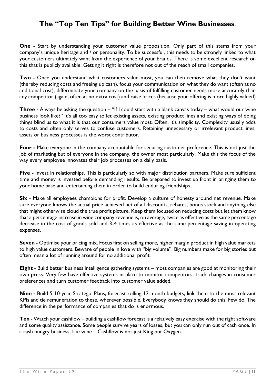#### **The "Top Ten Tips" for Building Better Wine Businesses**.

**One** - Start by understanding your customer value proposition. Only part of this stems from your company's unique heritage and / or personality. To be successful, this needs to be strongly linked to what your customers ultimately want from the experience of your brands. There is some excellent research on this that is publicly available. Getting it right is therefore not out of the reach of small companies.

**Two** - Once you understand what customers value most, you can then remove what they don't want (thereby reducing costs and freeing up cash), focus your communication on what they do want (often at no additional cost), differentiate your company on the basis of fulfilling customer needs more accurately than any competitor (again, often at no extra cost) and raise prices (because your offering is more highly valued)

**Three -** Always be asking the question – "If I could start with a blank canvas today – what would our wine business look like?" It's all too easy to let existing assets, existing product lines and existing ways of doing things blind us to what it is that our consumers value most. Often, it's simplicity. Complexity usually adds to costs and often only serves to confuse customers. Retaining unnecessary or irrelevant product lines, assets or business processes is the worst contributor.

**Four -** Make everyone in the company accountable for securing customer preference. This is not just the job of marketing but of everyone in the company, the owner most particularly. Make this the focus of the way every employee innovates their job processes on a daily basis.

**Five -** Invest in relationships. This is particularly so with major distribution partners. Make sure sufficient time and money is invested before demanding results. Be prepared to invest up front in bringing them to your home base and entertaining them in order to build enduring friendships.

**Six** - Make all employees champions for profit. Develop a culture of honesty around net revenue. Make sure everyone knows the actual price achieved net of all discounts, rebates, bonus stock and anything else that might otherwise cloud the true profit picture. Keep them focused on reducing costs but let them know that a percentage increase in wine company revenue is, on average, twice as effective as the same percentage decrease in the cost of goods sold and 3-4 times as effective as the same percentage saving in operating expenses.

**Seven -** Optimise your pricing mix. Focus first on selling more, higher margin product in high value markets to high value customers. Beware of people in love with "big volume". Big numbers make for big stories but often mean a lot of running around for no additional profit.

**Eight** - Build better business intelligence gathering systems – most companies are good at monitoring their own press. Very few have effective systems in place to monitor competitors, track changes in consumer preferences and turn customer feedback into customer value added.

**Nine -** Build 5-10 year Strategic Plans, forecast rolling 12-month budgets, link them to the most relevant KPIs and tie remuneration to these, wherever possible. Everybody knows they should do this. Few do. The difference in the performance of companies that do is enormous.

**Ten -** Watch your cashflow – building a cashflow forecast is a relatively easy exercise with the right software and some quality assistance. Some people survive years of losses, but you can only run out of cash once. In a cash hungry business, like wine – Cashflow is not just King but Oxygen.